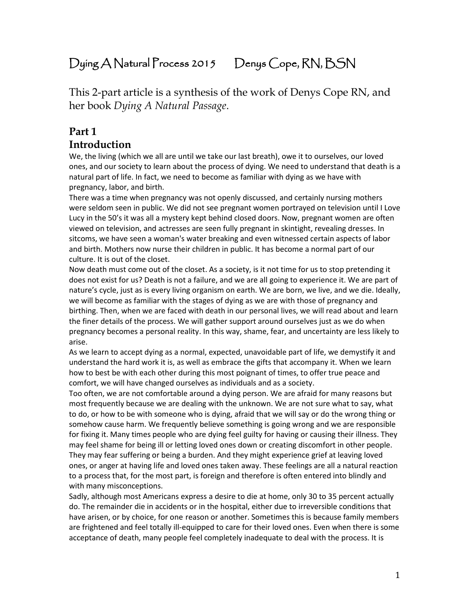# Dying A Natural Process 2015 Denys Cope, RN, BSN

This 2-part article is a synthesis of the work of Denys Cope RN, and her book *Dying A Natural Passage*.

# **Part 1 Introduction**

We, the living (which we all are until we take our last breath), owe it to ourselves, our loved ones, and our society to learn about the process of dying. We need to understand that death is a natural part of life. In fact, we need to become as familiar with dying as we have with pregnancy, labor, and birth.

There was a time when pregnancy was not openly discussed, and certainly nursing mothers were seldom seen in public. We did not see pregnant women portrayed on television until I Love Lucy in the 50's it was all a mystery kept behind closed doors. Now, pregnant women are often viewed on television, and actresses are seen fully pregnant in skintight, revealing dresses. In sitcoms, we have seen a woman's water breaking and even witnessed certain aspects of labor and birth. Mothers now nurse their children in public. It has become a normal part of our culture. It is out of the closet.

Now death must come out of the closet. As a society, is it not time for us to stop pretending it does not exist for us? Death is not a failure, and we are all going to experience it. We are part of nature's cycle, just as is every living organism on earth. We are born, we live, and we die. Ideally, we will become as familiar with the stages of dying as we are with those of pregnancy and birthing. Then, when we are faced with death in our personal lives, we will read about and learn the finer details of the process. We will gather support around ourselves just as we do when pregnancy becomes a personal reality. In this way, shame, fear, and uncertainty are less likely to arise.

As we learn to accept dying as a normal, expected, unavoidable part of life, we demystify it and understand the hard work it is, as well as embrace the gifts that accompany it. When we learn how to best be with each other during this most poignant of times, to offer true peace and comfort, we will have changed ourselves as individuals and as a society.

Too often, we are not comfortable around a dying person. We are afraid for many reasons but most frequently because we are dealing with the unknown. We are not sure what to say, what to do, or how to be with someone who is dying, afraid that we will say or do the wrong thing or somehow cause harm. We frequently believe something is going wrong and we are responsible for fixing it. Many times people who are dying feel guilty for having or causing their illness. They may feel shame for being ill or letting loved ones down or creating discomfort in other people. They may fear suffering or being a burden. And they might experience grief at leaving loved ones, or anger at having life and loved ones taken away. These feelings are all a natural reaction to a process that, for the most part, is foreign and therefore is often entered into blindly and with many misconceptions.

Sadly, although most Americans express a desire to die at home, only 30 to 35 percent actually do. The remainder die in accidents or in the hospital, either due to irreversible conditions that have arisen, or by choice, for one reason or another. Sometimes this is because family members are frightened and feel totally ill-equipped to care for their loved ones. Even when there is some acceptance of death, many people feel completely inadequate to deal with the process. It is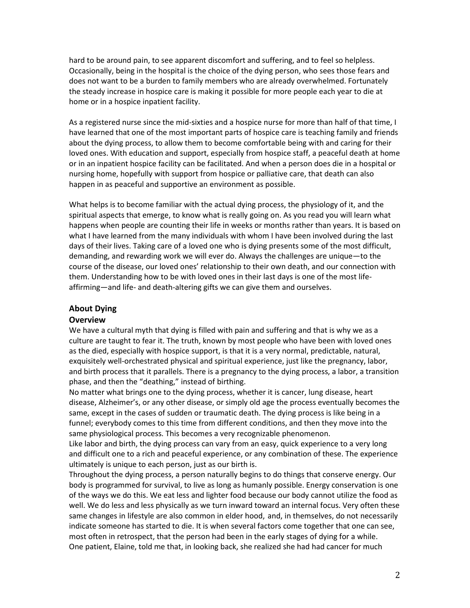hard to be around pain, to see apparent discomfort and suffering, and to feel so helpless. Occasionally, being in the hospital is the choice of the dying person, who sees those fears and does not want to be a burden to family members who are already overwhelmed. Fortunately the steady increase in hospice care is making it possible for more people each year to die at home or in a hospice inpatient facility.

As a registered nurse since the mid-sixties and a hospice nurse for more than half of that time, I have learned that one of the most important parts of hospice care is teaching family and friends about the dying process, to allow them to become comfortable being with and caring for their loved ones. With education and support, especially from hospice staff, a peaceful death at home or in an inpatient hospice facility can be facilitated. And when a person does die in a hospital or nursing home, hopefully with support from hospice or palliative care, that death can also happen in as peaceful and supportive an environment as possible.

What helps is to become familiar with the actual dying process, the physiology of it, and the spiritual aspects that emerge, to know what is really going on. As you read you will learn what happens when people are counting their life in weeks or months rather than years. It is based on what I have learned from the many individuals with whom I have been involved during the last days of their lives. Taking care of a loved one who is dying presents some of the most difficult, demanding, and rewarding work we will ever do. Always the challenges are unique—to the course of the disease, our loved ones' relationship to their own death, and our connection with them. Understanding how to be with loved ones in their last days is one of the most lifeaffirming—and life- and death-altering gifts we can give them and ourselves.

## **About Dying**

### **Overview**

We have a cultural myth that dying is filled with pain and suffering and that is why we as a culture are taught to fear it. The truth, known by most people who have been with loved ones as the died, especially with hospice support, is that it is a very normal, predictable, natural, exquisitely well-orchestrated physical and spiritual experience, just like the pregnancy, labor, and birth process that it parallels. There is a pregnancy to the dying process, a labor, a transition phase, and then the "deathing," instead of birthing.

No matter what brings one to the dying process, whether it is cancer, lung disease, heart disease, Alzheimer's, or any other disease, or simply old age the process eventually becomes the same, except in the cases of sudden or traumatic death. The dying process is like being in a funnel; everybody comes to this time from different conditions, and then they move into the same physiological process. This becomes a very recognizable phenomenon.

Like labor and birth, the dying process can vary from an easy, quick experience to a very long and difficult one to a rich and peaceful experience, or any combination of these. The experience ultimately is unique to each person, just as our birth is.

Throughout the dying process, a person naturally begins to do things that conserve energy. Our body is programmed for survival, to live as long as humanly possible. Energy conservation is one of the ways we do this. We eat less and lighter food because our body cannot utilize the food as well. We do less and less physically as we turn inward toward an internal focus. Very often these same changes in lifestyle are also common in elder hood, and, in themselves, do not necessarily indicate someone has started to die. It is when several factors come together that one can see, most often in retrospect, that the person had been in the early stages of dying for a while. One patient, Elaine, told me that, in looking back, she realized she had had cancer for much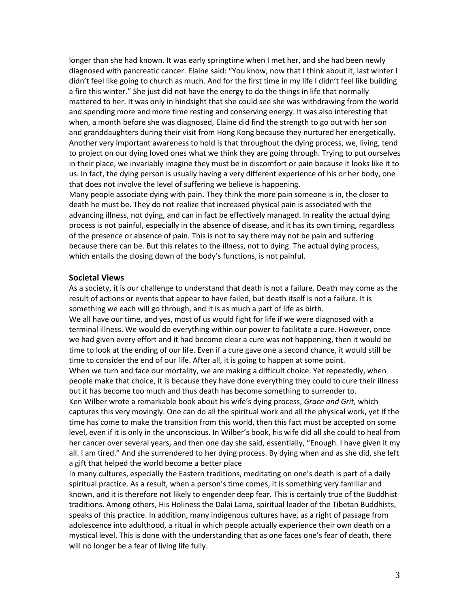longer than she had known. It was early springtime when I met her, and she had been newly diagnosed with pancreatic cancer. Elaine said: "You know, now that I think about it, last winter I didn't feel like going to church as much. And for the first time in my life I didn't feel like building a fire this winter." She just did not have the energy to do the things in life that normally mattered to her. It was only in hindsight that she could see she was withdrawing from the world and spending more and more time resting and conserving energy. It was also interesting that when, a month before she was diagnosed, Elaine did find the strength to go out with her son and granddaughters during their visit from Hong Kong because they nurtured her energetically. Another very important awareness to hold is that throughout the dying process, we, living, tend to project on our dying loved ones what we think they are going through. Trying to put ourselves in their place, we invariably imagine they must be in discomfort or pain because it looks like it to us. In fact, the dying person is usually having a very different experience of his or her body, one that does not involve the level of suffering we believe is happening.

Many people associate dying with pain. They think the more pain someone is in, the closer to death he must be. They do not realize that increased physical pain is associated with the advancing illness, not dying, and can in fact be effectively managed. In reality the actual dying process is not painful, especially in the absence of disease, and it has its own timing, regardless of the presence or absence of pain. This is not to say there may not be pain and suffering because there can be. But this relates to the illness, not to dying. The actual dying process, which entails the closing down of the body's functions, is not painful.

#### **Societal Views**

As a society, it is our challenge to understand that death is not a failure. Death may come as the result of actions or events that appear to have failed, but death itself is not a failure. It is something we each will go through, and it is as much a part of life as birth. We all have our time, and yes, most of us would fight for life if we were diagnosed with a terminal illness. We would do everything within our power to facilitate a cure. However, once we had given every effort and it had become clear a cure was not happening, then it would be time to look at the ending of our life. Even if a cure gave one a second chance, it would still be time to consider the end of our life. After all, it is going to happen at some point. When we turn and face our mortality, we are making a difficult choice. Yet repeatedly, when people make that choice, it is because they have done everything they could to cure their illness but it has become too much and thus death has become something to surrender to. Ken Wilber wrote a remarkable book about his wife's dying process, *Grace and Grit,* which captures this very movingly. One can do all the spiritual work and all the physical work, yet if the time has come to make the transition from this world, then this fact must be accepted on some level, even if it is only in the unconscious. In Wilber's book, his wife did all she could to heal from her cancer over several years, and then one day she said, essentially, "Enough. I have given it my all. I am tired." And she surrendered to her dying process. By dying when and as she did, she left a gift that helped the world become a better place

In many cultures, especially the Eastern traditions, meditating on one's death is part of a daily spiritual practice. As a result, when a person's time comes, it is something very familiar and known, and it is therefore not likely to engender deep fear. This is certainly true of the Buddhist traditions. Among others, His Holiness the Dalai Lama, spiritual leader of the Tibetan Buddhists, speaks of this practice. In addition, many indigenous cultures have, as a right of passage from adolescence into adulthood, a ritual in which people actually experience their own death on a mystical level. This is done with the understanding that as one faces one's fear of death, there will no longer be a fear of living life fully.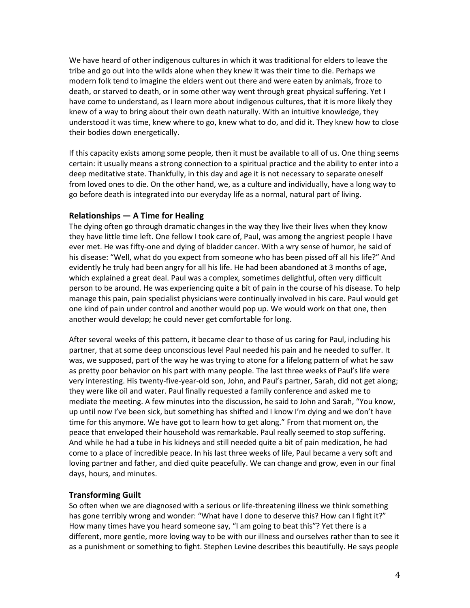We have heard of other indigenous cultures in which it was traditional for elders to leave the tribe and go out into the wilds alone when they knew it was their time to die. Perhaps we modern folk tend to imagine the elders went out there and were eaten by animals, froze to death, or starved to death, or in some other way went through great physical suffering. Yet I have come to understand, as I learn more about indigenous cultures, that it is more likely they knew of a way to bring about their own death naturally. With an intuitive knowledge, they understood it was time, knew where to go, knew what to do, and did it. They knew how to close their bodies down energetically.

If this capacity exists among some people, then it must be available to all of us. One thing seems certain: it usually means a strong connection to a spiritual practice and the ability to enter into a deep meditative state. Thankfully, in this day and age it is not necessary to separate oneself from loved ones to die. On the other hand, we, as a culture and individually, have a long way to go before death is integrated into our everyday life as a normal, natural part of living.

#### **Relationships — A Time for Healing**

The dying often go through dramatic changes in the way they live their lives when they know they have little time left. One fellow I took care of, Paul, was among the angriest people I have ever met. He was fifty-one and dying of bladder cancer. With a wry sense of humor, he said of his disease: "Well, what do you expect from someone who has been pissed off all his life?" And evidently he truly had been angry for all his life. He had been abandoned at 3 months of age, which explained a great deal. Paul was a complex, sometimes delightful, often very difficult person to be around. He was experiencing quite a bit of pain in the course of his disease. To help manage this pain, pain specialist physicians were continually involved in his care. Paul would get one kind of pain under control and another would pop up. We would work on that one, then another would develop; he could never get comfortable for long.

After several weeks of this pattern, it became clear to those of us caring for Paul, including his partner, that at some deep unconscious level Paul needed his pain and he needed to suffer. It was, we supposed, part of the way he was trying to atone for a lifelong pattern of what he saw as pretty poor behavior on his part with many people. The last three weeks of Paul's life were very interesting. His twenty-five-year-old son, John, and Paul's partner, Sarah, did not get along; they were like oil and water. Paul finally requested a family conference and asked me to mediate the meeting. A few minutes into the discussion, he said to John and Sarah, "You know, up until now I've been sick, but something has shifted and I know I'm dying and we don't have time for this anymore. We have got to learn how to get along." From that moment on, the peace that enveloped their household was remarkable. Paul really seemed to stop suffering. And while he had a tube in his kidneys and still needed quite a bit of pain medication, he had come to a place of incredible peace. In his last three weeks of life, Paul became a very soft and loving partner and father, and died quite peacefully. We can change and grow, even in our final days, hours, and minutes.

### **Transforming Guilt**

So often when we are diagnosed with a serious or life-threatening illness we think something has gone terribly wrong and wonder: "What have I done to deserve this? How can I fight it?" How many times have you heard someone say, "I am going to beat this"? Yet there is a different, more gentle, more loving way to be with our illness and ourselves rather than to see it as a punishment or something to fight. Stephen Levine describes this beautifully. He says people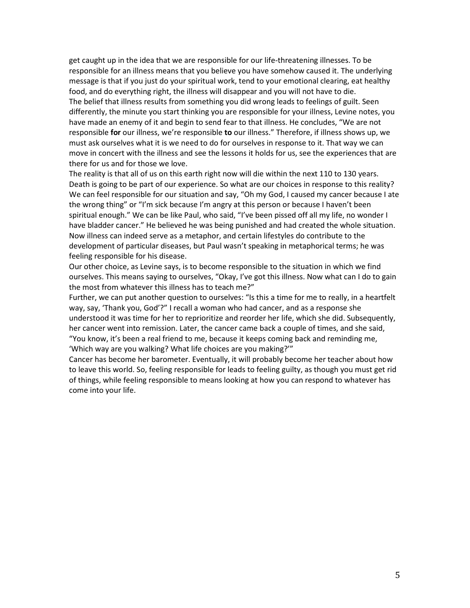get caught up in the idea that we are responsible for our life-threatening illnesses. To be responsible for an illness means that you believe you have somehow caused it. The underlying message is that if you just do your spiritual work, tend to your emotional clearing, eat healthy food, and do everything right, the illness will disappear and you will not have to die. The belief that illness results from something you did wrong leads to feelings of guilt. Seen differently, the minute you start thinking you are responsible for your illness, Levine notes, you have made an enemy of it and begin to send fear to that illness. He concludes, "We are not responsible **for** our illness, we're responsible **to** our illness." Therefore, if illness shows up, we must ask ourselves what it is we need to do for ourselves in response to it. That way we can move in concert with the illness and see the lessons it holds for us, see the experiences that are there for us and for those we love.

The reality is that all of us on this earth right now will die within the next 110 to 130 years. Death is going to be part of our experience. So what are our choices in response to this reality? We can feel responsible for our situation and say, "Oh my God, I caused my cancer because I ate the wrong thing" or "I'm sick because I'm angry at this person or because I haven't been spiritual enough." We can be like Paul, who said, "I've been pissed off all my life, no wonder I have bladder cancer." He believed he was being punished and had created the whole situation. Now illness can indeed serve as a metaphor, and certain lifestyles do contribute to the development of particular diseases, but Paul wasn't speaking in metaphorical terms; he was feeling responsible for his disease.

Our other choice, as Levine says, is to become responsible to the situation in which we find ourselves. This means saying to ourselves, "Okay, I've got this illness. Now what can I do to gain the most from whatever this illness has to teach me?"

Further, we can put another question to ourselves: "Is this a time for me to really, in a heartfelt way, say, 'Thank you, God'?" I recall a woman who had cancer, and as a response she understood it was time for her to reprioritize and reorder her life, which she did. Subsequently, her cancer went into remission. Later, the cancer came back a couple of times, and she said, "You know, it's been a real friend to me, because it keeps coming back and reminding me, 'Which way are you walking? What life choices are you making?'"

Cancer has become her barometer. Eventually, it will probably become her teacher about how to leave this world. So, feeling responsible for leads to feeling guilty, as though you must get rid of things, while feeling responsible to means looking at how you can respond to whatever has come into your life.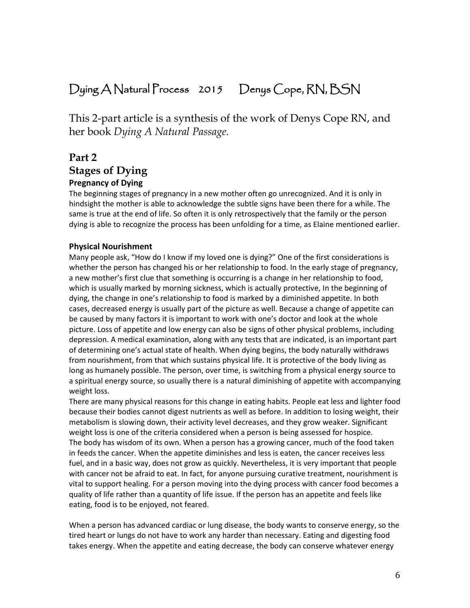# Dying A Natural Process 2015 Denys Cope, RN, BSN

This 2-part article is a synthesis of the work of Denys Cope RN, and her book *Dying A Natural Passage.*

# **Part 2 Stages of Dying Pregnancy of Dying**

The beginning stages of pregnancy in a new mother often go unrecognized. And it is only in hindsight the mother is able to acknowledge the subtle signs have been there for a while. The same is true at the end of life. So often it is only retrospectively that the family or the person dying is able to recognize the process has been unfolding for a time, as Elaine mentioned earlier.

## **Physical Nourishment**

Many people ask, "How do I know if my loved one is dying?" One of the first considerations is whether the person has changed his or her relationship to food. In the early stage of pregnancy, a new mother's first clue that something is occurring is a change in her relationship to food, which is usually marked by morning sickness, which is actually protective, In the beginning of dying, the change in one's relationship to food is marked by a diminished appetite. In both cases, decreased energy is usually part of the picture as well. Because a change of appetite can be caused by many factors it is important to work with one's doctor and look at the whole picture. Loss of appetite and low energy can also be signs of other physical problems, including depression. A medical examination, along with any tests that are indicated, is an important part of determining one's actual state of health. When dying begins, the body naturally withdraws from nourishment, from that which sustains physical life. It is protective of the body living as long as humanely possible. The person, over time, is switching from a physical energy source to a spiritual energy source, so usually there is a natural diminishing of appetite with accompanying weight loss.

There are many physical reasons for this change in eating habits. People eat less and lighter food because their bodies cannot digest nutrients as well as before. In addition to losing weight, their metabolism is slowing down, their activity level decreases, and they grow weaker. Significant weight loss is one of the criteria considered when a person is being assessed for hospice. The body has wisdom of its own. When a person has a growing cancer, much of the food taken in feeds the cancer. When the appetite diminishes and less is eaten, the cancer receives less fuel, and in a basic way, does not grow as quickly. Nevertheless, it is very important that people with cancer not be afraid to eat. In fact, for anyone pursuing curative treatment, nourishment is vital to support healing. For a person moving into the dying process with cancer food becomes a quality of life rather than a quantity of life issue. If the person has an appetite and feels like eating, food is to be enjoyed, not feared.

When a person has advanced cardiac or lung disease, the body wants to conserve energy, so the tired heart or lungs do not have to work any harder than necessary. Eating and digesting food takes energy. When the appetite and eating decrease, the body can conserve whatever energy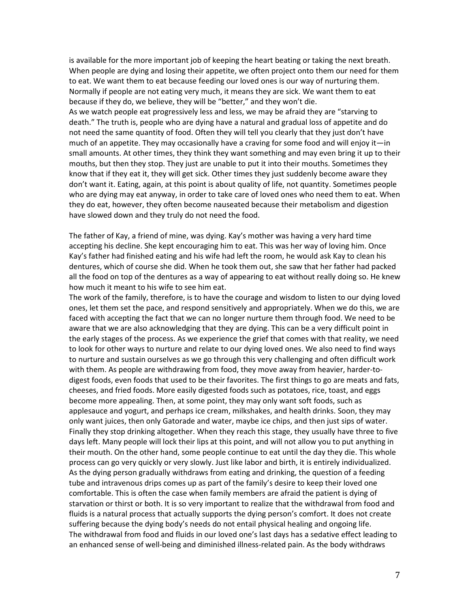is available for the more important job of keeping the heart beating or taking the next breath. When people are dying and losing their appetite, we often project onto them our need for them to eat. We want them to eat because feeding our loved ones is our way of nurturing them. Normally if people are not eating very much, it means they are sick. We want them to eat because if they do, we believe, they will be "better," and they won't die.

As we watch people eat progressively less and less, we may be afraid they are "starving to death." The truth is, people who are dying have a natural and gradual loss of appetite and do not need the same quantity of food. Often they will tell you clearly that they just don't have much of an appetite. They may occasionally have a craving for some food and will enjoy it—in small amounts. At other times, they think they want something and may even bring it up to their mouths, but then they stop. They just are unable to put it into their mouths. Sometimes they know that if they eat it, they will get sick. Other times they just suddenly become aware they don't want it. Eating, again, at this point is about quality of life, not quantity. Sometimes people who are dying may eat anyway, in order to take care of loved ones who need them to eat. When they do eat, however, they often become nauseated because their metabolism and digestion have slowed down and they truly do not need the food.

The father of Kay, a friend of mine, was dying. Kay's mother was having a very hard time accepting his decline. She kept encouraging him to eat. This was her way of loving him. Once Kay's father had finished eating and his wife had left the room, he would ask Kay to clean his dentures, which of course she did. When he took them out, she saw that her father had packed all the food on top of the dentures as a way of appearing to eat without really doing so. He knew how much it meant to his wife to see him eat.

The work of the family, therefore, is to have the courage and wisdom to listen to our dying loved ones, let them set the pace, and respond sensitively and appropriately. When we do this, we are faced with accepting the fact that we can no longer nurture them through food. We need to be aware that we are also acknowledging that they are dying. This can be a very difficult point in the early stages of the process. As we experience the grief that comes with that reality, we need to look for other ways to nurture and relate to our dying loved ones. We also need to find ways to nurture and sustain ourselves as we go through this very challenging and often difficult work with them. As people are withdrawing from food, they move away from heavier, harder-todigest foods, even foods that used to be their favorites. The first things to go are meats and fats, cheeses, and fried foods. More easily digested foods such as potatoes, rice, toast, and eggs become more appealing. Then, at some point, they may only want soft foods, such as applesauce and yogurt, and perhaps ice cream, milkshakes, and health drinks. Soon, they may only want juices, then only Gatorade and water, maybe ice chips, and then just sips of water. Finally they stop drinking altogether. When they reach this stage, they usually have three to five days left. Many people will lock their lips at this point, and will not allow you to put anything in their mouth. On the other hand, some people continue to eat until the day they die. This whole process can go very quickly or very slowly. Just like labor and birth, it is entirely individualized. As the dying person gradually withdraws from eating and drinking, the question of a feeding tube and intravenous drips comes up as part of the family's desire to keep their loved one comfortable. This is often the case when family members are afraid the patient is dying of starvation or thirst or both. It is so very important to realize that the withdrawal from food and fluids is a natural process that actually supports the dying person's comfort. It does not create suffering because the dying body's needs do not entail physical healing and ongoing life. The withdrawal from food and fluids in our loved one's last days has a sedative effect leading to an enhanced sense of well-being and diminished illness-related pain. As the body withdraws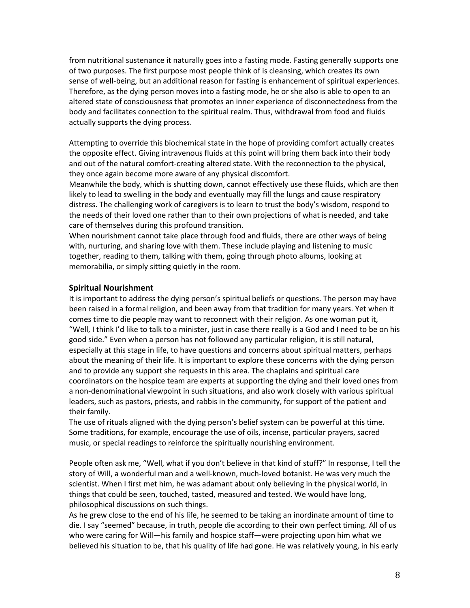from nutritional sustenance it naturally goes into a fasting mode. Fasting generally supports one of two purposes. The first purpose most people think of is cleansing, which creates its own sense of well-being, but an additional reason for fasting is enhancement of spiritual experiences. Therefore, as the dying person moves into a fasting mode, he or she also is able to open to an altered state of consciousness that promotes an inner experience of disconnectedness from the body and facilitates connection to the spiritual realm. Thus, withdrawal from food and fluids actually supports the dying process.

Attempting to override this biochemical state in the hope of providing comfort actually creates the opposite effect. Giving intravenous fluids at this point will bring them back into their body and out of the natural comfort-creating altered state. With the reconnection to the physical, they once again become more aware of any physical discomfort.

Meanwhile the body, which is shutting down, cannot effectively use these fluids, which are then likely to lead to swelling in the body and eventually may fill the lungs and cause respiratory distress. The challenging work of caregivers is to learn to trust the body's wisdom, respond to the needs of their loved one rather than to their own projections of what is needed, and take care of themselves during this profound transition.

When nourishment cannot take place through food and fluids, there are other ways of being with, nurturing, and sharing love with them. These include playing and listening to music together, reading to them, talking with them, going through photo albums, looking at memorabilia, or simply sitting quietly in the room.

#### **Spiritual Nourishment**

It is important to address the dying person's spiritual beliefs or questions. The person may have been raised in a formal religion, and been away from that tradition for many years. Yet when it comes time to die people may want to reconnect with their religion. As one woman put it, "Well, I think I'd like to talk to a minister, just in case there really is a God and I need to be on his good side." Even when a person has not followed any particular religion, it is still natural, especially at this stage in life, to have questions and concerns about spiritual matters, perhaps about the meaning of their life. It is important to explore these concerns with the dying person and to provide any support she requests in this area. The chaplains and spiritual care coordinators on the hospice team are experts at supporting the dying and their loved ones from a non-denominational viewpoint in such situations, and also work closely with various spiritual leaders, such as pastors, priests, and rabbis in the community, for support of the patient and their family.

The use of rituals aligned with the dying person's belief system can be powerful at this time. Some traditions, for example, encourage the use of oils, incense, particular prayers, sacred music, or special readings to reinforce the spiritually nourishing environment.

People often ask me, "Well, what if you don't believe in that kind of stuff?" In response, I tell the story of Will, a wonderful man and a well-known, much-loved botanist. He was very much the scientist. When I first met him, he was adamant about only believing in the physical world, in things that could be seen, touched, tasted, measured and tested. We would have long, philosophical discussions on such things.

As he grew close to the end of his life, he seemed to be taking an inordinate amount of time to die. I say "seemed" because, in truth, people die according to their own perfect timing. All of us who were caring for Will—his family and hospice staff—were projecting upon him what we believed his situation to be, that his quality of life had gone. He was relatively young, in his early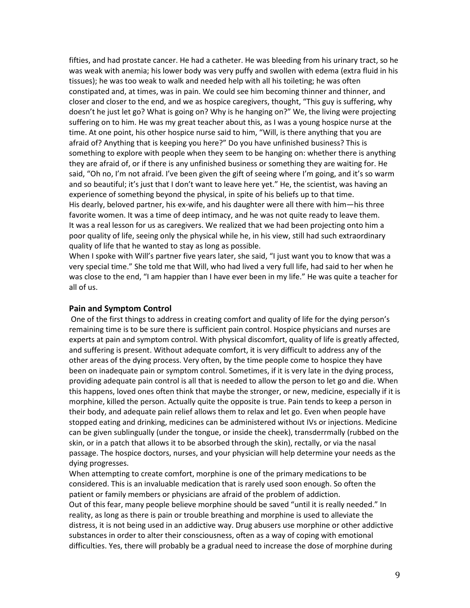fifties, and had prostate cancer. He had a catheter. He was bleeding from his urinary tract, so he was weak with anemia; his lower body was very puffy and swollen with edema (extra fluid in his tissues); he was too weak to walk and needed help with all his toileting; he was often constipated and, at times, was in pain. We could see him becoming thinner and thinner, and closer and closer to the end, and we as hospice caregivers, thought, "This guy is suffering, why doesn't he just let go? What is going on? Why is he hanging on?" We, the living were projecting suffering on to him. He was my great teacher about this, as I was a young hospice nurse at the time. At one point, his other hospice nurse said to him, "Will, is there anything that you are afraid of? Anything that is keeping you here?" Do you have unfinished business? This is something to explore with people when they seem to be hanging on: whether there is anything they are afraid of, or if there is any unfinished business or something they are waiting for. He said, "Oh no, I'm not afraid. I've been given the gift of seeing where I'm going, and it's so warm and so beautiful; it's just that I don't want to leave here yet." He, the scientist, was having an experience of something beyond the physical, in spite of his beliefs up to that time. His dearly, beloved partner, his ex-wife, and his daughter were all there with him—his three favorite women. It was a time of deep intimacy, and he was not quite ready to leave them. It was a real lesson for us as caregivers. We realized that we had been projecting onto him a poor quality of life, seeing only the physical while he, in his view, still had such extraordinary quality of life that he wanted to stay as long as possible.

When I spoke with Will's partner five years later, she said, "I just want you to know that was a very special time." She told me that Will, who had lived a very full life, had said to her when he was close to the end, "I am happier than I have ever been in my life." He was quite a teacher for all of us.

#### **Pain and Symptom Control**

One of the first things to address in creating comfort and quality of life for the dying person's remaining time is to be sure there is sufficient pain control. Hospice physicians and nurses are experts at pain and symptom control. With physical discomfort, quality of life is greatly affected, and suffering is present. Without adequate comfort, it is very difficult to address any of the other areas of the dying process. Very often, by the time people come to hospice they have been on inadequate pain or symptom control. Sometimes, if it is very late in the dying process, providing adequate pain control is all that is needed to allow the person to let go and die. When this happens, loved ones often think that maybe the stronger, or new, medicine, especially if it is morphine, killed the person. Actually quite the opposite is true. Pain tends to keep a person in their body, and adequate pain relief allows them to relax and let go. Even when people have stopped eating and drinking, medicines can be administered without IVs or injections. Medicine can be given sublingually (under the tongue, or inside the cheek), transderrmally (rubbed on the skin, or in a patch that allows it to be absorbed through the skin), rectally, or via the nasal passage. The hospice doctors, nurses, and your physician will help determine your needs as the dying progresses.

When attempting to create comfort, morphine is one of the primary medications to be considered. This is an invaluable medication that is rarely used soon enough. So often the patient or family members or physicians are afraid of the problem of addiction.

Out of this fear, many people believe morphine should be saved "until it is really needed." In reality, as long as there is pain or trouble breathing and morphine is used to alleviate the distress, it is not being used in an addictive way. Drug abusers use morphine or other addictive substances in order to alter their consciousness, often as a way of coping with emotional difficulties. Yes, there will probably be a gradual need to increase the dose of morphine during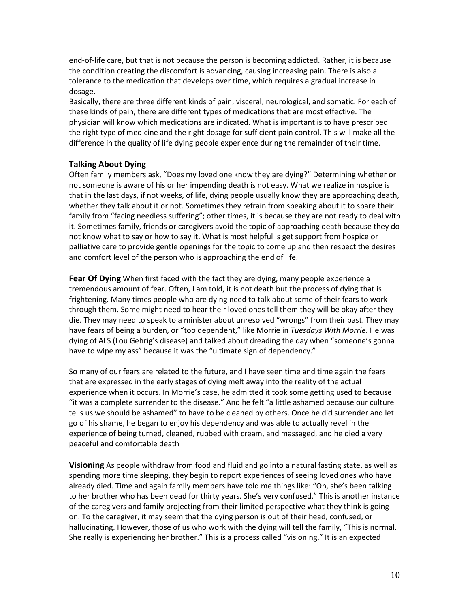end-of-life care, but that is not because the person is becoming addicted. Rather, it is because the condition creating the discomfort is advancing, causing increasing pain. There is also a tolerance to the medication that develops over time, which requires a gradual increase in dosage.

Basically, there are three different kinds of pain, visceral, neurological, and somatic. For each of these kinds of pain, there are different types of medications that are most effective. The physician will know which medications are indicated. What is important is to have prescribed the right type of medicine and the right dosage for sufficient pain control. This will make all the difference in the quality of life dying people experience during the remainder of their time.

#### **Talking About Dying**

Often family members ask, "Does my loved one know they are dying?" Determining whether or not someone is aware of his or her impending death is not easy. What we realize in hospice is that in the last days, if not weeks, of life, dying people usually know they are approaching death, whether they talk about it or not. Sometimes they refrain from speaking about it to spare their family from "facing needless suffering"; other times, it is because they are not ready to deal with it. Sometimes family, friends or caregivers avoid the topic of approaching death because they do not know what to say or how to say it. What is most helpful is get support from hospice or palliative care to provide gentle openings for the topic to come up and then respect the desires and comfort level of the person who is approaching the end of life.

**Fear Of Dying** When first faced with the fact they are dying, many people experience a tremendous amount of fear. Often, I am told, it is not death but the process of dying that is frightening. Many times people who are dying need to talk about some of their fears to work through them. Some might need to hear their loved ones tell them they will be okay after they die. They may need to speak to a minister about unresolved "wrongs" from their past. They may have fears of being a burden, or "too dependent," like Morrie in *Tuesdays With Morrie*. He was dying of ALS (Lou Gehrig's disease) and talked about dreading the day when "someone's gonna have to wipe my ass" because it was the "ultimate sign of dependency."

So many of our fears are related to the future, and I have seen time and time again the fears that are expressed in the early stages of dying melt away into the reality of the actual experience when it occurs. In Morrie's case, he admitted it took some getting used to because "it was a complete surrender to the disease." And he felt "a little ashamed because our culture tells us we should be ashamed" to have to be cleaned by others. Once he did surrender and let go of his shame, he began to enjoy his dependency and was able to actually revel in the experience of being turned, cleaned, rubbed with cream, and massaged, and he died a very peaceful and comfortable death

**Visioning** As people withdraw from food and fluid and go into a natural fasting state, as well as spending more time sleeping, they begin to report experiences of seeing loved ones who have already died. Time and again family members have told me things like: "Oh, she's been talking to her brother who has been dead for thirty years. She's very confused." This is another instance of the caregivers and family projecting from their limited perspective what they think is going on. To the caregiver, it may seem that the dying person is out of their head, confused, or hallucinating. However, those of us who work with the dying will tell the family, "This is normal. She really is experiencing her brother." This is a process called "visioning." It is an expected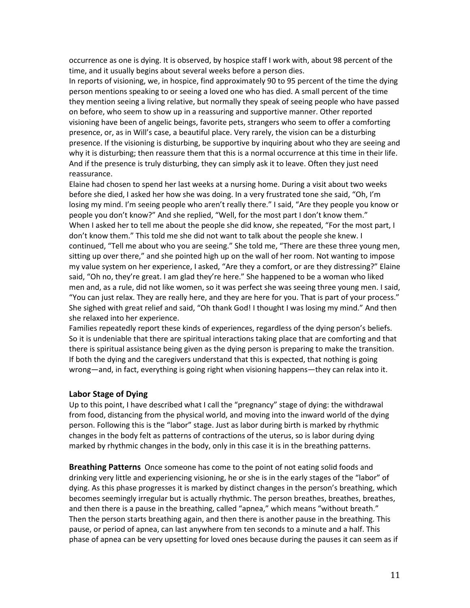occurrence as one is dying. It is observed, by hospice staff I work with, about 98 percent of the time, and it usually begins about several weeks before a person dies.

In reports of visioning, we, in hospice, find approximately 90 to 95 percent of the time the dying person mentions speaking to or seeing a loved one who has died. A small percent of the time they mention seeing a living relative, but normally they speak of seeing people who have passed on before, who seem to show up in a reassuring and supportive manner. Other reported visioning have been of angelic beings, favorite pets, strangers who seem to offer a comforting presence, or, as in Will's case, a beautiful place. Very rarely, the vision can be a disturbing presence. If the visioning is disturbing, be supportive by inquiring about who they are seeing and why it is disturbing; then reassure them that this is a normal occurrence at this time in their life. And if the presence is truly disturbing, they can simply ask it to leave. Often they just need reassurance.

Elaine had chosen to spend her last weeks at a nursing home. During a visit about two weeks before she died, I asked her how she was doing. In a very frustrated tone she said, "Oh, I'm losing my mind. I'm seeing people who aren't really there." I said, "Are they people you know or people you don't know?" And she replied, "Well, for the most part I don't know them." When I asked her to tell me about the people she did know, she repeated, "For the most part, I don't know them." This told me she did not want to talk about the people she knew. I continued, "Tell me about who you are seeing." She told me, "There are these three young men, sitting up over there," and she pointed high up on the wall of her room. Not wanting to impose my value system on her experience, I asked, "Are they a comfort, or are they distressing?" Elaine said, "Oh no, they're great. I am glad they're here." She happened to be a woman who liked men and, as a rule, did not like women, so it was perfect she was seeing three young men. I said, "You can just relax. They are really here, and they are here for you. That is part of your process." She sighed with great relief and said, "Oh thank God! I thought I was losing my mind." And then she relaxed into her experience.

Families repeatedly report these kinds of experiences, regardless of the dying person's beliefs. So it is undeniable that there are spiritual interactions taking place that are comforting and that there is spiritual assistance being given as the dying person is preparing to make the transition. If both the dying and the caregivers understand that this is expected, that nothing is going wrong—and, in fact, everything is going right when visioning happens—they can relax into it.

#### **Labor Stage of Dying**

Up to this point, I have described what I call the "pregnancy" stage of dying: the withdrawal from food, distancing from the physical world, and moving into the inward world of the dying person. Following this is the "labor" stage. Just as labor during birth is marked by rhythmic changes in the body felt as patterns of contractions of the uterus, so is labor during dying marked by rhythmic changes in the body, only in this case it is in the breathing patterns.

**Breathing Patterns** Once someone has come to the point of not eating solid foods and drinking very little and experiencing visioning, he or she is in the early stages of the "labor" of dying. As this phase progresses it is marked by distinct changes in the person's breathing, which becomes seemingly irregular but is actually rhythmic. The person breathes, breathes, breathes, and then there is a pause in the breathing, called "apnea," which means "without breath." Then the person starts breathing again, and then there is another pause in the breathing. This pause, or period of apnea, can last anywhere from ten seconds to a minute and a half. This phase of apnea can be very upsetting for loved ones because during the pauses it can seem as if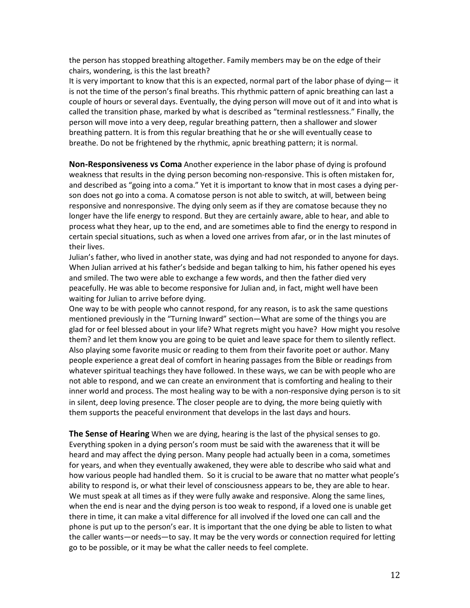the person has stopped breathing altogether. Family members may be on the edge of their chairs, wondering, is this the last breath?

It is very important to know that this is an expected, normal part of the labor phase of dying— it is not the time of the person's final breaths. This rhythmic pattern of apnic breathing can last a couple of hours or several days. Eventually, the dying person will move out of it and into what is called the transition phase, marked by what is described as "terminal restlessness." Finally, the person will move into a very deep, regular breathing pattern, then a shallower and slower breathing pattern. It is from this regular breathing that he or she will eventually cease to breathe. Do not be frightened by the rhythmic, apnic breathing pattern; it is normal.

**Non-Responsiveness vs Coma** Another experience in the labor phase of dying is profound weakness that results in the dying person becoming non-responsive. This is often mistaken for, and described as "going into a coma." Yet it is important to know that in most cases a dying person does not go into a coma. A comatose person is not able to switch, at will, between being responsive and nonresponsive. The dying only seem as if they are comatose because they no longer have the life energy to respond. But they are certainly aware, able to hear, and able to process what they hear, up to the end, and are sometimes able to find the energy to respond in certain special situations, such as when a loved one arrives from afar, or in the last minutes of their lives.

Julian's father, who lived in another state, was dying and had not responded to anyone for days. When Julian arrived at his father's bedside and began talking to him, his father opened his eyes and smiled. The two were able to exchange a few words, and then the father died very peacefully. He was able to become responsive for Julian and, in fact, might well have been waiting for Julian to arrive before dying.

One way to be with people who cannot respond, for any reason, is to ask the same questions mentioned previously in the "Turning Inward" section—What are some of the things you are glad for or feel blessed about in your life? What regrets might you have? How might you resolve them? and let them know you are going to be quiet and leave space for them to silently reflect. Also playing some favorite music or reading to them from their favorite poet or author. Many people experience a great deal of comfort in hearing passages from the Bible or readings from whatever spiritual teachings they have followed. In these ways, we can be with people who are not able to respond, and we can create an environment that is comforting and healing to their inner world and process. The most healing way to be with a non-responsive dying person is to sit in silent, deep loving presence. The closer people are to dying, the more being quietly with them supports the peaceful environment that develops in the last days and hours.

**The Sense of Hearing** When we are dying, hearing is the last of the physical senses to go. Everything spoken in a dying person's room must be said with the awareness that it will be heard and may affect the dying person. Many people had actually been in a coma, sometimes for years, and when they eventually awakened, they were able to describe who said what and how various people had handled them. So it is crucial to be aware that no matter what people's ability to respond is, or what their level of consciousness appears to be, they are able to hear. We must speak at all times as if they were fully awake and responsive. Along the same lines, when the end is near and the dying person is too weak to respond, if a loved one is unable get there in time, it can make a vital difference for all involved if the loved one can call and the phone is put up to the person's ear. It is important that the one dying be able to listen to what the caller wants—or needs—to say. It may be the very words or connection required for letting go to be possible, or it may be what the caller needs to feel complete.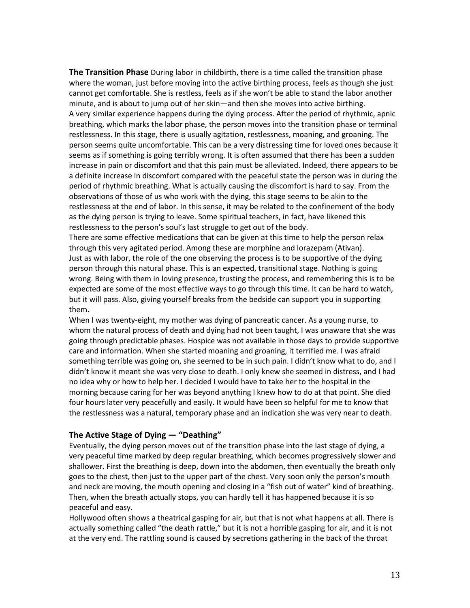**The Transition Phase** During labor in childbirth, there is a time called the transition phase where the woman, just before moving into the active birthing process, feels as though she just cannot get comfortable. She is restless, feels as if she won't be able to stand the labor another minute, and is about to jump out of her skin—and then she moves into active birthing. A very similar experience happens during the dying process. After the period of rhythmic, apnic breathing, which marks the labor phase, the person moves into the transition phase or terminal restlessness. In this stage, there is usually agitation, restlessness, moaning, and groaning. The person seems quite uncomfortable. This can be a very distressing time for loved ones because it seems as if something is going terribly wrong. It is often assumed that there has been a sudden increase in pain or discomfort and that this pain must be alleviated. Indeed, there appears to be a definite increase in discomfort compared with the peaceful state the person was in during the period of rhythmic breathing. What is actually causing the discomfort is hard to say. From the observations of those of us who work with the dying, this stage seems to be akin to the restlessness at the end of labor. In this sense, it may be related to the confinement of the body as the dying person is trying to leave. Some spiritual teachers, in fact, have likened this restlessness to the person's soul's last struggle to get out of the body.

There are some effective medications that can be given at this time to help the person relax through this very agitated period. Among these are morphine and lorazepam (Ativan). Just as with labor, the role of the one observing the process is to be supportive of the dying person through this natural phase. This is an expected, transitional stage. Nothing is going wrong. Being with them in loving presence, trusting the process, and remembering this is to be expected are some of the most effective ways to go through this time. It can be hard to watch, but it will pass. Also, giving yourself breaks from the bedside can support you in supporting them.

When I was twenty-eight, my mother was dying of pancreatic cancer. As a young nurse, to whom the natural process of death and dying had not been taught, I was unaware that she was going through predictable phases. Hospice was not available in those days to provide supportive care and information. When she started moaning and groaning, it terrified me. I was afraid something terrible was going on, she seemed to be in such pain. I didn't know what to do, and I didn't know it meant she was very close to death. I only knew she seemed in distress, and I had no idea why or how to help her. I decided I would have to take her to the hospital in the morning because caring for her was beyond anything I knew how to do at that point. She died four hours later very peacefully and easily. It would have been so helpful for me to know that the restlessness was a natural, temporary phase and an indication she was very near to death.

### **The Active Stage of Dying — "Deathing"**

Eventually, the dying person moves out of the transition phase into the last stage of dying, a very peaceful time marked by deep regular breathing, which becomes progressively slower and shallower. First the breathing is deep, down into the abdomen, then eventually the breath only goes to the chest, then just to the upper part of the chest. Very soon only the person's mouth and neck are moving, the mouth opening and closing in a "fish out of water" kind of breathing. Then, when the breath actually stops, you can hardly tell it has happened because it is so peaceful and easy.

Hollywood often shows a theatrical gasping for air, but that is not what happens at all. There is actually something called "the death rattle," but it is not a horrible gasping for air, and it is not at the very end. The rattling sound is caused by secretions gathering in the back of the throat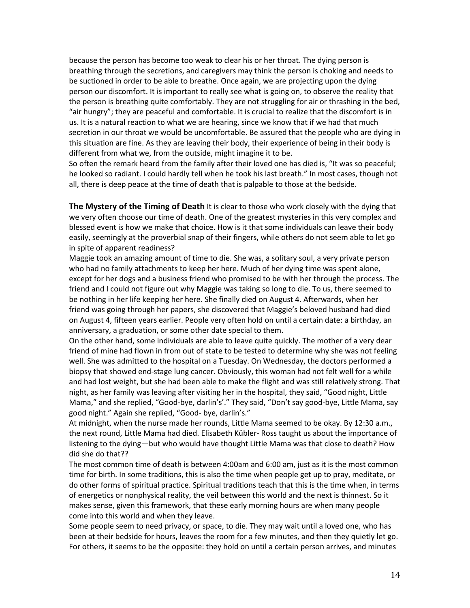because the person has become too weak to clear his or her throat. The dying person is breathing through the secretions, and caregivers may think the person is choking and needs to be suctioned in order to be able to breathe. Once again, we are projecting upon the dying person our discomfort. It is important to really see what is going on, to observe the reality that the person is breathing quite comfortably. They are not struggling for air or thrashing in the bed, "air hungry"; they are peaceful and comfortable. It is crucial to realize that the discomfort is in us. It is a natural reaction to what we are hearing, since we know that if we had that much secretion in our throat we would be uncomfortable. Be assured that the people who are dying in this situation are fine. As they are leaving their body, their experience of being in their body is different from what we, from the outside, might imagine it to be.

So often the remark heard from the family after their loved one has died is, "It was so peaceful; he looked so radiant. I could hardly tell when he took his last breath." In most cases, though not all, there is deep peace at the time of death that is palpable to those at the bedside.

**The Mystery of the Timing of Death** It is clear to those who work closely with the dying that we very often choose our time of death. One of the greatest mysteries in this very complex and blessed event is how we make that choice. How is it that some individuals can leave their body easily, seemingly at the proverbial snap of their fingers, while others do not seem able to let go in spite of apparent readiness?

Maggie took an amazing amount of time to die. She was, a solitary soul, a very private person who had no family attachments to keep her here. Much of her dying time was spent alone, except for her dogs and a business friend who promised to be with her through the process. The friend and I could not figure out why Maggie was taking so long to die. To us, there seemed to be nothing in her life keeping her here. She finally died on August 4. Afterwards, when her friend was going through her papers, she discovered that Maggie's beloved husband had died on August 4, fifteen years earlier. People very often hold on until a certain date: a birthday, an anniversary, a graduation, or some other date special to them.

On the other hand, some individuals are able to leave quite quickly. The mother of a very dear friend of mine had flown in from out of state to be tested to determine why she was not feeling well. She was admitted to the hospital on a Tuesday. On Wednesday, the doctors performed a biopsy that showed end-stage lung cancer. Obviously, this woman had not felt well for a while and had lost weight, but she had been able to make the flight and was still relatively strong. That night, as her family was leaving after visiting her in the hospital, they said, "Good night, Little Mama," and she replied, "Good-bye, darlin's'." They said, "Don't say good-bye, Little Mama, say good night." Again she replied, "Good- bye, darlin's."

At midnight, when the nurse made her rounds, Little Mama seemed to be okay. By 12:30 a.m., the next round, Little Mama had died. Elisabeth Kübler- Ross taught us about the importance of listening to the dying—but who would have thought Little Mama was that close to death? How did she do that??

The most common time of death is between 4:00am and 6:00 am, just as it is the most common time for birth. In some traditions, this is also the time when people get up to pray, meditate, or do other forms of spiritual practice. Spiritual traditions teach that this is the time when, in terms of energetics or nonphysical reality, the veil between this world and the next is thinnest. So it makes sense, given this framework, that these early morning hours are when many people come into this world and when they leave.

Some people seem to need privacy, or space, to die. They may wait until a loved one, who has been at their bedside for hours, leaves the room for a few minutes, and then they quietly let go. For others, it seems to be the opposite: they hold on until a certain person arrives, and minutes